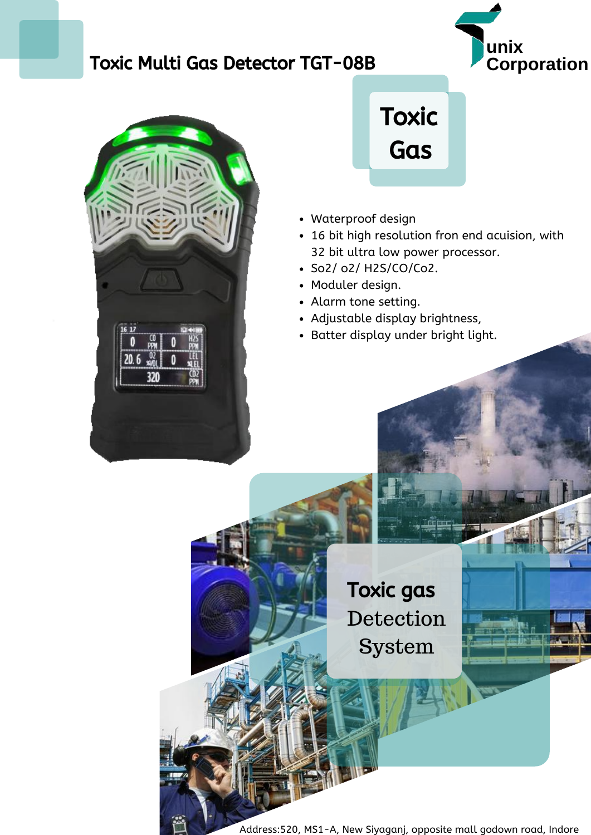## **Toxic Multi Gas Detector TGT-08B**







- Waterproof design
- 16 bit high resolution fron end acuision, with 32 bit ultra low power processor.
- So2/ o2/ H2S/CO/Co2.
- Moduler design.
- Alarm tone setting.
- Adjustable display brightness,
- Batter display under bright light.

Toxic gas Detection System